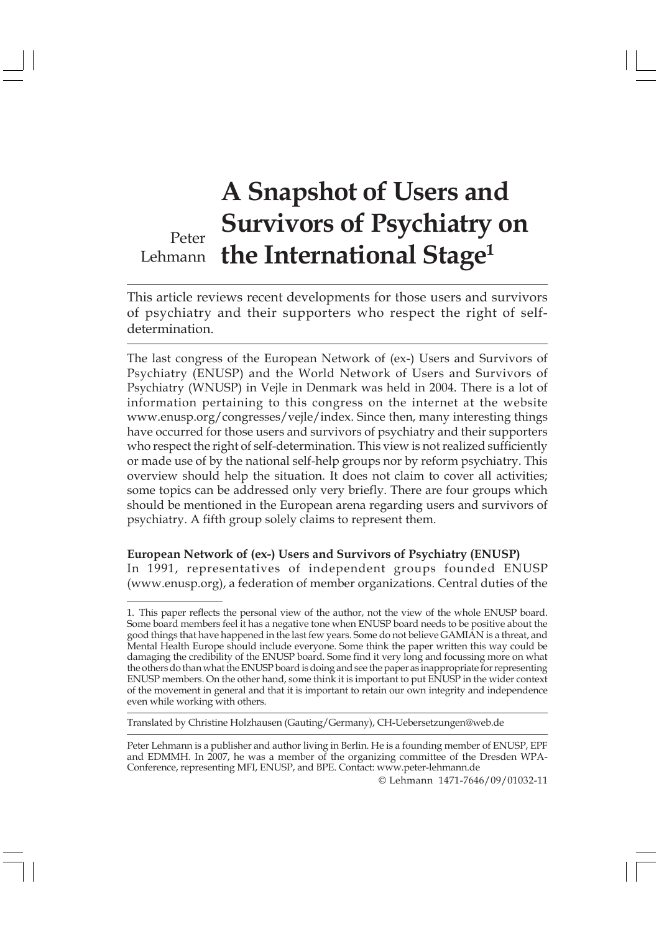## Peter Lehmann **the International Stage<sup>1</sup> A Snapshot of Users and Survivors of Psychiatry on**

This article reviews recent developments for those users and survivors of psychiatry and their supporters who respect the right of selfdetermination.

The last congress of the European Network of (ex-) Users and Survivors of Psychiatry (ENUSP) and the World Network of Users and Survivors of Psychiatry (WNUSP) in Vejle in Denmark was held in 2004. There is a lot of information pertaining to this congress on the internet at the website www.enusp.org/congresses/vejle/index. Since then, many interesting things have occurred for those users and survivors of psychiatry and their supporters who respect the right of self-determination. This view is not realized sufficiently or made use of by the national self-help groups nor by reform psychiatry. This overview should help the situation. It does not claim to cover all activities; some topics can be addressed only very briefly. There are four groups which should be mentioned in the European arena regarding users and survivors of psychiatry. A fifth group solely claims to represent them.

**European Network of (ex-) Users and Survivors of Psychiatry (ENUSP)** In 1991, representatives of independent groups founded ENUSP (www.enusp.org), a federation of member organizations. Central duties of the

Translated by Christine Holzhausen (Gauting/Germany), CH-Uebersetzungen@web.de

© Lehmann 1471-7646/09/01032-11

<sup>1.</sup> This paper reflects the personal view of the author, not the view of the whole ENUSP board. Some board members feel it has a negative tone when ENUSP board needs to be positive about the good things that have happened in the last few years. Some do not believe GAMIAN is a threat, and Mental Health Europe should include everyone. Some think the paper written this way could be damaging the credibility of the ENUSP board. Some find it very long and focussing more on what the others do than what the ENUSP board is doing and see the paper as inappropriate for representing ENUSP members. On the other hand, some think it is important to put ENUSP in the wider context of the movement in general and that it is important to retain our own integrity and independence even while working with others.

Peter Lehmann is a publisher and author living in Berlin. He is a founding member of ENUSP, EPF and EDMMH. In 2007, he was a member of the organizing committee of the Dresden WPA-Conference, representing MFI, ENUSP, and BPE. Contact: www.peter-lehmann.de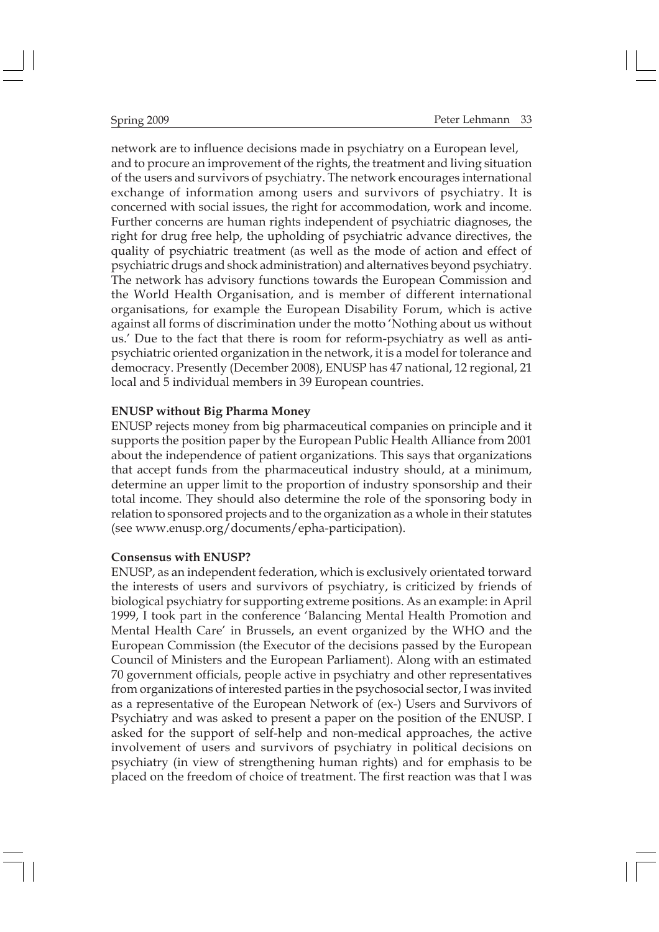network are to influence decisions made in psychiatry on a European level, and to procure an improvement of the rights, the treatment and living situation of the users and survivors of psychiatry. The network encourages international exchange of information among users and survivors of psychiatry. It is concerned with social issues, the right for accommodation, work and income. Further concerns are human rights independent of psychiatric diagnoses, the right for drug free help, the upholding of psychiatric advance directives, the quality of psychiatric treatment (as well as the mode of action and effect of psychiatric drugs and shock administration) and alternatives beyond psychiatry. The network has advisory functions towards the European Commission and the World Health Organisation, and is member of different international organisations, for example the European Disability Forum, which is active against all forms of discrimination under the motto 'Nothing about us without us.' Due to the fact that there is room for reform-psychiatry as well as antipsychiatric oriented organization in the network, it is a model for tolerance and democracy. Presently (December 2008), ENUSP has 47 national, 12 regional, 21 local and 5 individual members in 39 European countries.

#### **ENUSP without Big Pharma Money**

ENUSP rejects money from big pharmaceutical companies on principle and it supports the position paper by the European Public Health Alliance from 2001 about the independence of patient organizations. This says that organizations that accept funds from the pharmaceutical industry should, at a minimum, determine an upper limit to the proportion of industry sponsorship and their total income. They should also determine the role of the sponsoring body in relation to sponsored projects and to the organization as a whole in their statutes (see www.enusp.org/documents/epha-participation).

#### **Consensus with ENUSP?**

ENUSP, as an independent federation, which is exclusively orientated torward the interests of users and survivors of psychiatry, is criticized by friends of biological psychiatry for supporting extreme positions. As an example: in April 1999, I took part in the conference 'Balancing Mental Health Promotion and Mental Health Care' in Brussels, an event organized by the WHO and the European Commission (the Executor of the decisions passed by the European Council of Ministers and the European Parliament). Along with an estimated 70 government officials, people active in psychiatry and other representatives from organizations of interested parties in the psychosocial sector, I was invited as a representative of the European Network of (ex-) Users and Survivors of Psychiatry and was asked to present a paper on the position of the ENUSP. I asked for the support of self-help and non-medical approaches, the active involvement of users and survivors of psychiatry in political decisions on psychiatry (in view of strengthening human rights) and for emphasis to be placed on the freedom of choice of treatment. The first reaction was that I was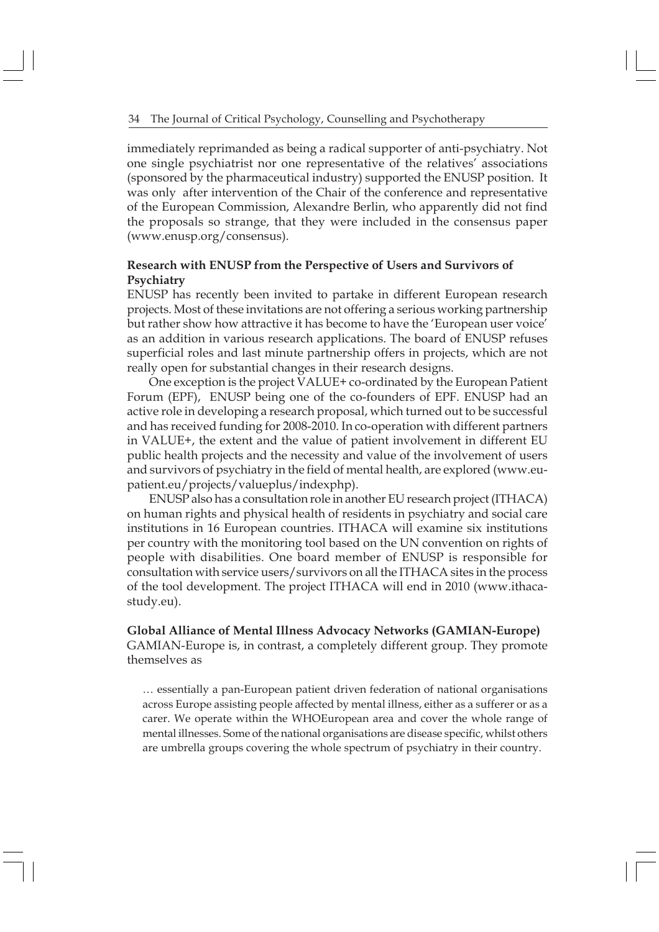#### 34 The Journal of Critical Psychology, Counselling and Psychotherapy

immediately reprimanded as being a radical supporter of anti-psychiatry. Not one single psychiatrist nor one representative of the relatives' associations (sponsored by the pharmaceutical industry) supported the ENUSP position. It was only after intervention of the Chair of the conference and representative of the European Commission, Alexandre Berlin, who apparently did not find the proposals so strange, that they were included in the consensus paper (www.enusp.org/consensus).

## **Research with ENUSP from the Perspective of Users and Survivors of Psychiatry**

ENUSP has recently been invited to partake in different European research projects. Most of these invitations are not offering a serious working partnership but rather show how attractive it has become to have the 'European user voice' as an addition in various research applications. The board of ENUSP refuses superficial roles and last minute partnership offers in projects, which are not really open for substantial changes in their research designs.

One exception is the project VALUE+ co-ordinated by the European Patient Forum (EPF), ENUSP being one of the co-founders of EPF. ENUSP had an active role in developing a research proposal, which turned out to be successful and has received funding for 2008-2010. In co-operation with different partners in VALUE+, the extent and the value of patient involvement in different EU public health projects and the necessity and value of the involvement of users and survivors of psychiatry in the field of mental health, are explored (www.eupatient.eu/projects/valueplus/indexphp).

ENUSP also has a consultation role in another EU research project (ITHACA) on human rights and physical health of residents in psychiatry and social care institutions in 16 European countries. ITHACA will examine six institutions per country with the monitoring tool based on the UN convention on rights of people with disabilities. One board member of ENUSP is responsible for consultation with service users/survivors on all the ITHACA sites in the process of the tool development. The project ITHACA will end in 2010 (www.ithacastudy.eu).

**Global Alliance of Mental Illness Advocacy Networks (GAMIAN-Europe)** GAMIAN-Europe is, in contrast, a completely different group. They promote themselves as

… essentially a pan-European patient driven federation of national organisations across Europe assisting people affected by mental illness, either as a sufferer or as a carer. We operate within the WHOEuropean area and cover the whole range of mental illnesses. Some of the national organisations are disease specific, whilst others are umbrella groups covering the whole spectrum of psychiatry in their country.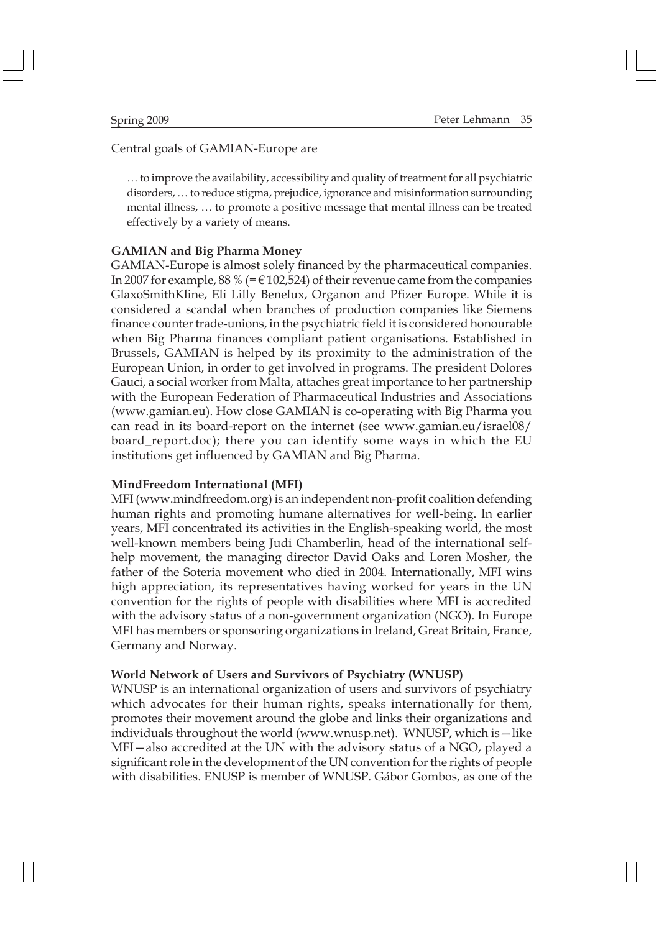### Central goals of GAMIAN-Europe are

… to improve the availability, accessibility and quality of treatment for all psychiatric disorders, … to reduce stigma, prejudice, ignorance and misinformation surrounding mental illness, … to promote a positive message that mental illness can be treated effectively by a variety of means.

#### **GAMIAN and Big Pharma Money**

GAMIAN-Europe is almost solely financed by the pharmaceutical companies. In 2007 for example, 88 % (=  $\in$  102,524) of their revenue came from the companies GlaxoSmithKline, Eli Lilly Benelux, Organon and Pfizer Europe. While it is considered a scandal when branches of production companies like Siemens finance counter trade-unions, in the psychiatric field it is considered honourable when Big Pharma finances compliant patient organisations. Established in Brussels, GAMIAN is helped by its proximity to the administration of the European Union, in order to get involved in programs. The president Dolores Gauci, a social worker from Malta, attaches great importance to her partnership with the European Federation of Pharmaceutical Industries and Associations (www.gamian.eu). How close GAMIAN is co-operating with Big Pharma you can read in its board-report on the internet (see www.gamian.eu/israel08/ board\_report.doc); there you can identify some ways in which the EU institutions get influenced by GAMIAN and Big Pharma.

#### **MindFreedom International (MFI)**

MFI (www.mindfreedom.org) is an independent non-profit coalition defending human rights and promoting humane alternatives for well-being. In earlier years, MFI concentrated its activities in the English-speaking world, the most well-known members being Judi Chamberlin, head of the international selfhelp movement, the managing director David Oaks and Loren Mosher, the father of the Soteria movement who died in 2004. Internationally, MFI wins high appreciation, its representatives having worked for years in the UN convention for the rights of people with disabilities where MFI is accredited with the advisory status of a non-government organization (NGO). In Europe MFI has members or sponsoring organizations in Ireland, Great Britain, France, Germany and Norway.

#### **World Network of Users and Survivors of Psychiatry (WNUSP)**

WNUSP is an international organization of users and survivors of psychiatry which advocates for their human rights, speaks internationally for them, promotes their movement around the globe and links their organizations and individuals throughout the world (www.wnusp.net). WNUSP, which is—like MFI—also accredited at the UN with the advisory status of a NGO, played a significant role in the development of the UN convention for the rights of people with disabilities. ENUSP is member of WNUSP. Gábor Gombos, as one of the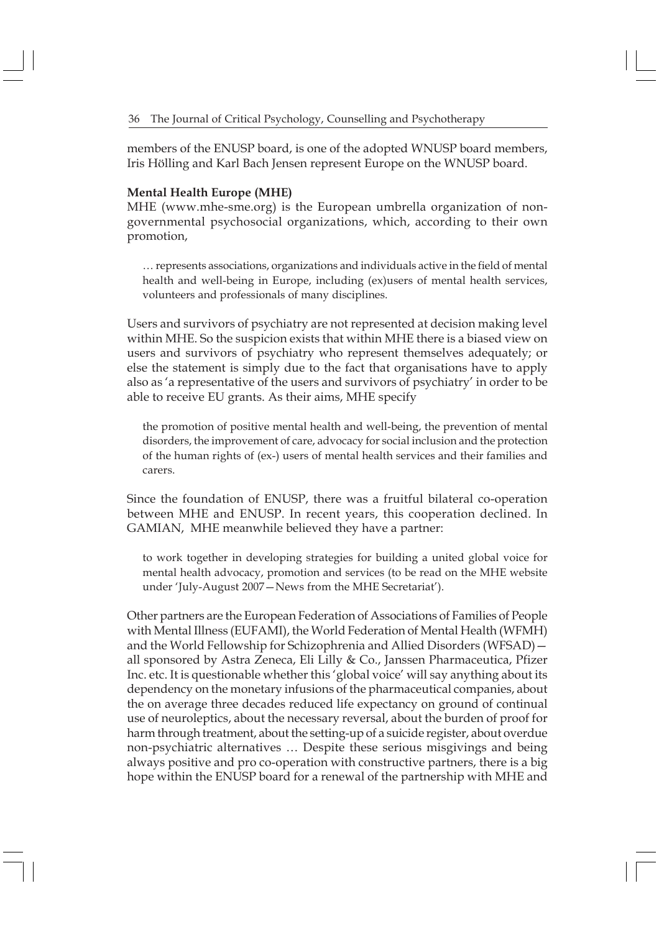members of the ENUSP board, is one of the adopted WNUSP board members, Iris Hölling and Karl Bach Jensen represent Europe on the WNUSP board.

#### **Mental Health Europe (MHE)**

MHE (www.mhe-sme.org) is the European umbrella organization of nongovernmental psychosocial organizations, which, according to their own promotion,

… represents associations, organizations and individuals active in the field of mental health and well-being in Europe, including (ex)users of mental health services, volunteers and professionals of many disciplines.

Users and survivors of psychiatry are not represented at decision making level within MHE. So the suspicion exists that within MHE there is a biased view on users and survivors of psychiatry who represent themselves adequately; or else the statement is simply due to the fact that organisations have to apply also as 'a representative of the users and survivors of psychiatry' in order to be able to receive EU grants. As their aims, MHE specify

the promotion of positive mental health and well-being, the prevention of mental disorders, the improvement of care, advocacy for social inclusion and the protection of the human rights of (ex-) users of mental health services and their families and carers.

Since the foundation of ENUSP, there was a fruitful bilateral co-operation between MHE and ENUSP. In recent years, this cooperation declined. In GAMIAN, MHE meanwhile believed they have a partner:

to work together in developing strategies for building a united global voice for mental health advocacy, promotion and services (to be read on the MHE website under 'July-August 2007—News from the MHE Secretariat').

Other partners are the European Federation of Associations of Families of People with Mental Illness (EUFAMI), the World Federation of Mental Health (WFMH) and the World Fellowship for Schizophrenia and Allied Disorders (WFSAD) all sponsored by Astra Zeneca, Eli Lilly & Co., Janssen Pharmaceutica, Pfizer Inc. etc. It is questionable whether this 'global voice' will say anything about its dependency on the monetary infusions of the pharmaceutical companies, about the on average three decades reduced life expectancy on ground of continual use of neuroleptics, about the necessary reversal, about the burden of proof for harm through treatment, about the setting-up of a suicide register, about overdue non-psychiatric alternatives … Despite these serious misgivings and being always positive and pro co-operation with constructive partners, there is a big hope within the ENUSP board for a renewal of the partnership with MHE and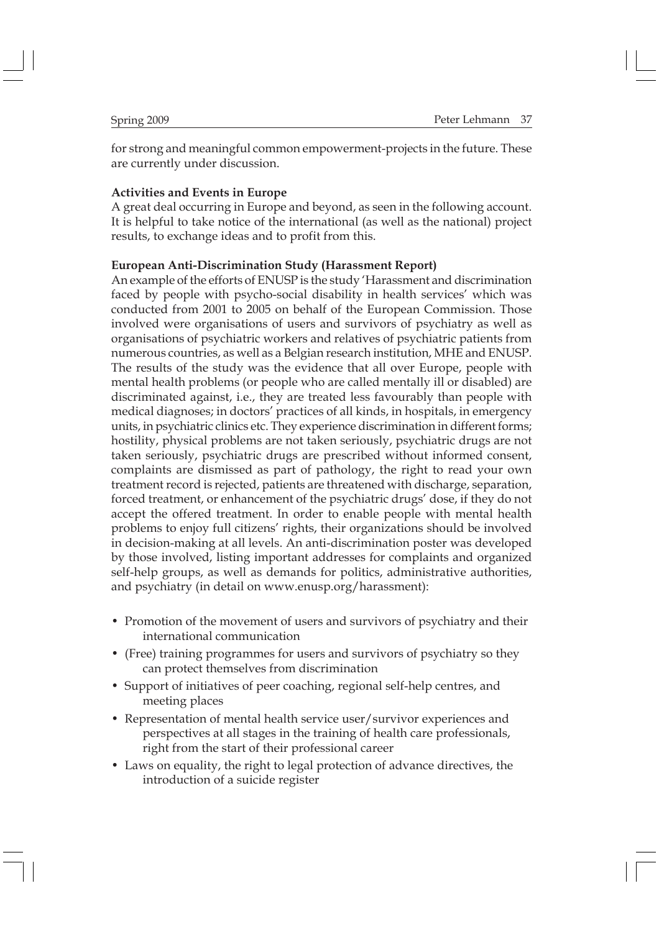for strong and meaningful common empowerment-projects in the future. These are currently under discussion.

#### **Activities and Events in Europe**

A great deal occurring in Europe and beyond, as seen in the following account. It is helpful to take notice of the international (as well as the national) project results, to exchange ideas and to profit from this.

#### **European Anti-Discrimination Study (Harassment Report)**

An example of the efforts of ENUSP is the study 'Harassment and discrimination faced by people with psycho-social disability in health services' which was conducted from 2001 to 2005 on behalf of the European Commission. Those involved were organisations of users and survivors of psychiatry as well as organisations of psychiatric workers and relatives of psychiatric patients from numerous countries, as well as a Belgian research institution, MHE and ENUSP. The results of the study was the evidence that all over Europe, people with mental health problems (or people who are called mentally ill or disabled) are discriminated against, i.e., they are treated less favourably than people with medical diagnoses; in doctors' practices of all kinds, in hospitals, in emergency units, in psychiatric clinics etc. They experience discrimination in different forms; hostility, physical problems are not taken seriously, psychiatric drugs are not taken seriously, psychiatric drugs are prescribed without informed consent, complaints are dismissed as part of pathology, the right to read your own treatment record is rejected, patients are threatened with discharge, separation, forced treatment, or enhancement of the psychiatric drugs' dose, if they do not accept the offered treatment. In order to enable people with mental health problems to enjoy full citizens' rights, their organizations should be involved in decision-making at all levels. An anti-discrimination poster was developed by those involved, listing important addresses for complaints and organized self-help groups, as well as demands for politics, administrative authorities, and psychiatry (in detail on www.enusp.org/harassment):

- Promotion of the movement of users and survivors of psychiatry and their international communication
- (Free) training programmes for users and survivors of psychiatry so they can protect themselves from discrimination
- Support of initiatives of peer coaching, regional self-help centres, and meeting places
- Representation of mental health service user/survivor experiences and perspectives at all stages in the training of health care professionals, right from the start of their professional career
- Laws on equality, the right to legal protection of advance directives, the introduction of a suicide register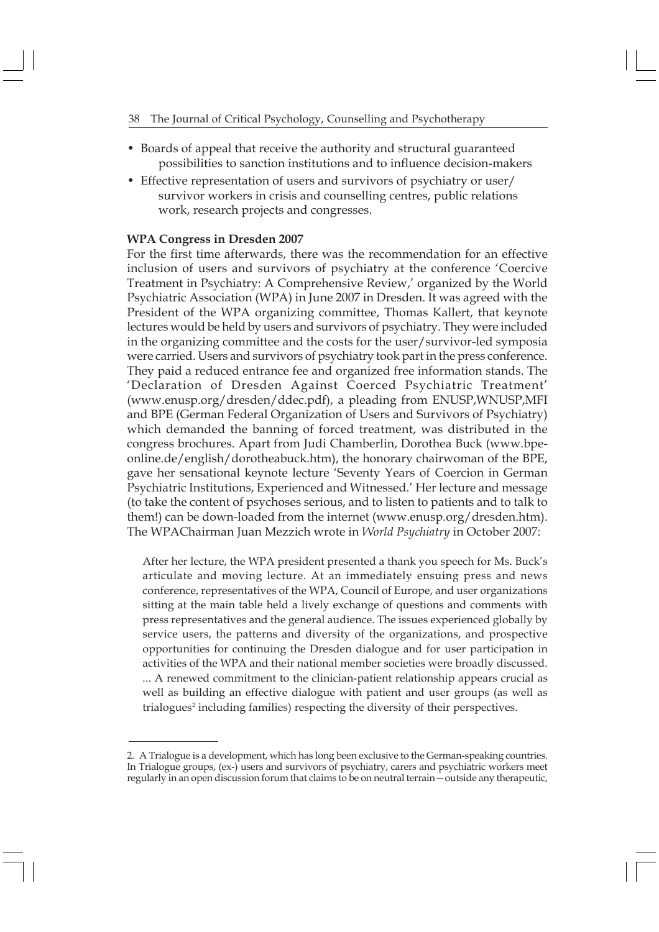- Boards of appeal that receive the authority and structural guaranteed possibilities to sanction institutions and to influence decision-makers
- Effective representation of users and survivors of psychiatry or user/ survivor workers in crisis and counselling centres, public relations work, research projects and congresses.

### **WPA Congress in Dresden 2007**

For the first time afterwards, there was the recommendation for an effective inclusion of users and survivors of psychiatry at the conference 'Coercive Treatment in Psychiatry: A Comprehensive Review,' organized by the World Psychiatric Association (WPA) in June 2007 in Dresden. It was agreed with the President of the WPA organizing committee, Thomas Kallert, that keynote lectures would be held by users and survivors of psychiatry. They were included in the organizing committee and the costs for the user/survivor-led symposia were carried. Users and survivors of psychiatry took part in the press conference. They paid a reduced entrance fee and organized free information stands. The 'Declaration of Dresden Against Coerced Psychiatric Treatment' (www.enusp.org/dresden/ddec.pdf), a pleading from ENUSP,WNUSP,MFI and BPE (German Federal Organization of Users and Survivors of Psychiatry) which demanded the banning of forced treatment, was distributed in the congress brochures. Apart from Judi Chamberlin, Dorothea Buck (www.bpeonline.de/english/dorotheabuck.htm), the honorary chairwoman of the BPE, gave her sensational keynote lecture 'Seventy Years of Coercion in German Psychiatric Institutions, Experienced and Witnessed.' Her lecture and message (to take the content of psychoses serious, and to listen to patients and to talk to them!) can be down-loaded from the internet (www.enusp.org/dresden.htm). The WPAChairman Juan Mezzich wrote in *World Psychiatry* in October 2007:

After her lecture, the WPA president presented a thank you speech for Ms. Buck's articulate and moving lecture. At an immediately ensuing press and news conference, representatives of the WPA, Council of Europe, and user organizations sitting at the main table held a lively exchange of questions and comments with press representatives and the general audience. The issues experienced globally by service users, the patterns and diversity of the organizations, and prospective opportunities for continuing the Dresden dialogue and for user participation in activities of the WPA and their national member societies were broadly discussed. ... A renewed commitment to the clinician-patient relationship appears crucial as well as building an effective dialogue with patient and user groups (as well as trialogues<sup>2</sup> including families) respecting the diversity of their perspectives.

<sup>2.</sup> A Trialogue is a development, which has long been exclusive to the German-speaking countries. In Trialogue groups, (ex-) users and survivors of psychiatry, carers and psychiatric workers meet regularly in an open discussion forum that claims to be on neutral terrain—outside any therapeutic,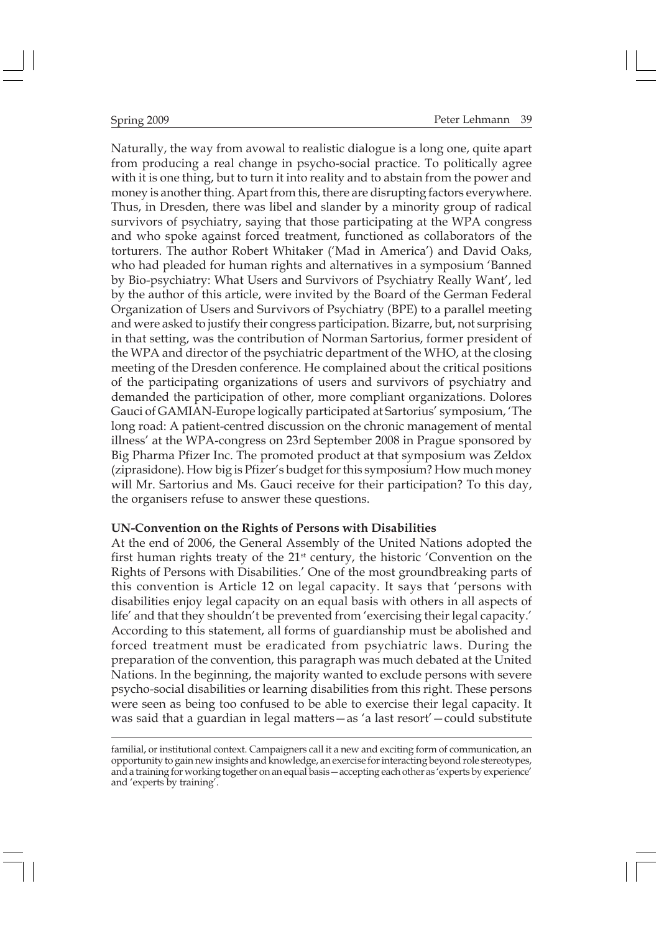Naturally, the way from avowal to realistic dialogue is a long one, quite apart from producing a real change in psycho-social practice. To politically agree with it is one thing, but to turn it into reality and to abstain from the power and money is another thing. Apart from this, there are disrupting factors everywhere. Thus, in Dresden, there was libel and slander by a minority group of radical survivors of psychiatry, saying that those participating at the WPA congress and who spoke against forced treatment, functioned as collaborators of the torturers. The author Robert Whitaker ('Mad in America') and David Oaks, who had pleaded for human rights and alternatives in a symposium 'Banned by Bio-psychiatry: What Users and Survivors of Psychiatry Really Want', led by the author of this article, were invited by the Board of the German Federal Organization of Users and Survivors of Psychiatry (BPE) to a parallel meeting and were asked to justify their congress participation. Bizarre, but, not surprising in that setting, was the contribution of Norman Sartorius, former president of the WPA and director of the psychiatric department of the WHO, at the closing meeting of the Dresden conference. He complained about the critical positions of the participating organizations of users and survivors of psychiatry and demanded the participation of other, more compliant organizations. Dolores Gauci of GAMIAN-Europe logically participated at Sartorius' symposium, 'The long road: A patient-centred discussion on the chronic management of mental illness' at the WPA-congress on 23rd September 2008 in Prague sponsored by Big Pharma Pfizer Inc. The promoted product at that symposium was Zeldox (ziprasidone). How big is Pfizer's budget for this symposium? How much money will Mr. Sartorius and Ms. Gauci receive for their participation? To this day, the organisers refuse to answer these questions.

#### **UN-Convention on the Rights of Persons with Disabilities**

At the end of 2006, the General Assembly of the United Nations adopted the first human rights treaty of the 21st century, the historic 'Convention on the Rights of Persons with Disabilities.' One of the most groundbreaking parts of this convention is Article 12 on legal capacity. It says that 'persons with disabilities enjoy legal capacity on an equal basis with others in all aspects of life' and that they shouldn't be prevented from 'exercising their legal capacity.' According to this statement, all forms of guardianship must be abolished and forced treatment must be eradicated from psychiatric laws. During the preparation of the convention, this paragraph was much debated at the United Nations. In the beginning, the majority wanted to exclude persons with severe psycho-social disabilities or learning disabilities from this right. These persons were seen as being too confused to be able to exercise their legal capacity. It was said that a guardian in legal matters—as 'a last resort'—could substitute

familial, or institutional context. Campaigners call it a new and exciting form of communication, an opportunity to gain new insights and knowledge, an exercise for interacting beyond role stereotypes, and a training for working together on an equal basis—accepting each other as 'experts by experience' and 'experts by training'.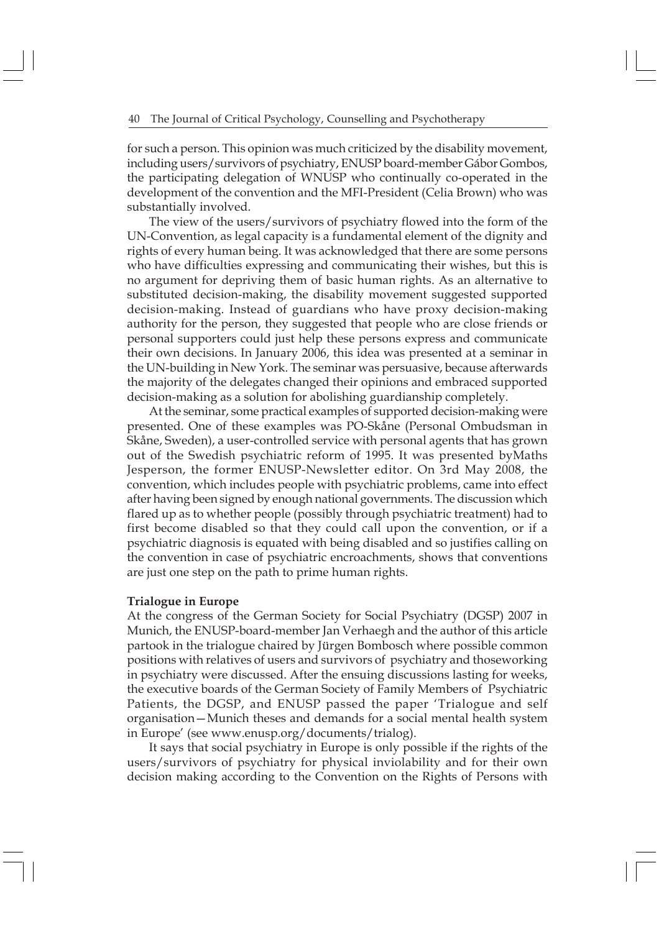for such a person. This opinion was much criticized by the disability movement, including users/survivors of psychiatry, ENUSP board-member Gábor Gombos, the participating delegation of WNUSP who continually co-operated in the development of the convention and the MFI-President (Celia Brown) who was substantially involved.

The view of the users/survivors of psychiatry flowed into the form of the UN-Convention, as legal capacity is a fundamental element of the dignity and rights of every human being. It was acknowledged that there are some persons who have difficulties expressing and communicating their wishes, but this is no argument for depriving them of basic human rights. As an alternative to substituted decision-making, the disability movement suggested supported decision-making. Instead of guardians who have proxy decision-making authority for the person, they suggested that people who are close friends or personal supporters could just help these persons express and communicate their own decisions. In January 2006, this idea was presented at a seminar in the UN-building in New York. The seminar was persuasive, because afterwards the majority of the delegates changed their opinions and embraced supported decision-making as a solution for abolishing guardianship completely.

At the seminar, some practical examples of supported decision-making were presented. One of these examples was PO-Skåne (Personal Ombudsman in Skåne, Sweden), a user-controlled service with personal agents that has grown out of the Swedish psychiatric reform of 1995. It was presented byMaths Jesperson, the former ENUSP-Newsletter editor. On 3rd May 2008, the convention, which includes people with psychiatric problems, came into effect after having been signed by enough national governments. The discussion which flared up as to whether people (possibly through psychiatric treatment) had to first become disabled so that they could call upon the convention, or if a psychiatric diagnosis is equated with being disabled and so justifies calling on the convention in case of psychiatric encroachments, shows that conventions are just one step on the path to prime human rights.

#### **Trialogue in Europe**

At the congress of the German Society for Social Psychiatry (DGSP) 2007 in Munich, the ENUSP-board-member Jan Verhaegh and the author of this article partook in the trialogue chaired by Jürgen Bombosch where possible common positions with relatives of users and survivors of psychiatry and thoseworking in psychiatry were discussed. After the ensuing discussions lasting for weeks, the executive boards of the German Society of Family Members of Psychiatric Patients, the DGSP, and ENUSP passed the paper 'Trialogue and self organisation—Munich theses and demands for a social mental health system in Europe' (see www.enusp.org/documents/trialog).

It says that social psychiatry in Europe is only possible if the rights of the users/survivors of psychiatry for physical inviolability and for their own decision making according to the Convention on the Rights of Persons with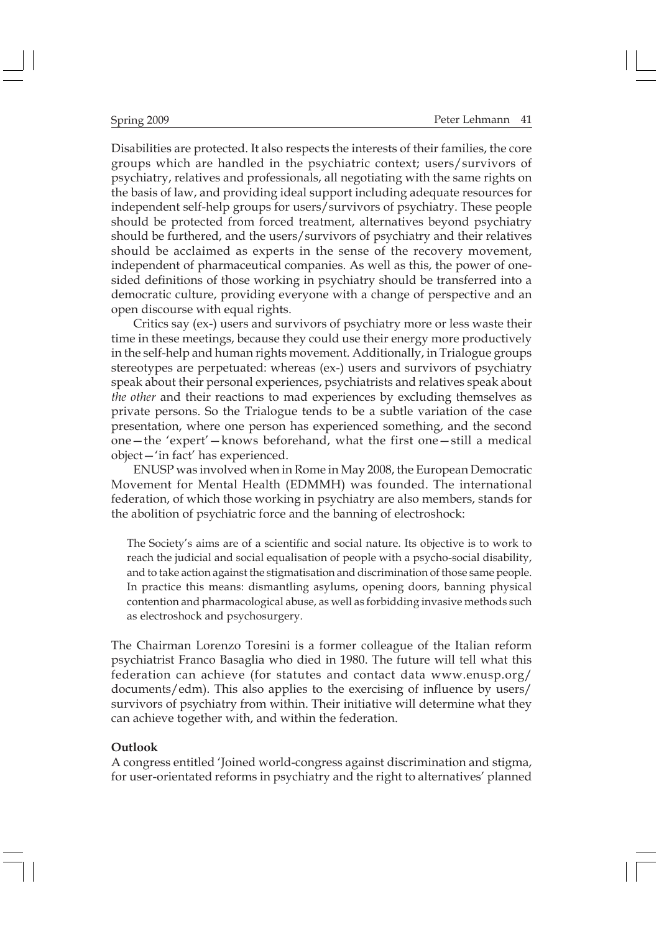Disabilities are protected. It also respects the interests of their families, the core groups which are handled in the psychiatric context; users/survivors of psychiatry, relatives and professionals, all negotiating with the same rights on the basis of law, and providing ideal support including adequate resources for independent self-help groups for users/survivors of psychiatry. These people should be protected from forced treatment, alternatives beyond psychiatry should be furthered, and the users/survivors of psychiatry and their relatives should be acclaimed as experts in the sense of the recovery movement, independent of pharmaceutical companies. As well as this, the power of onesided definitions of those working in psychiatry should be transferred into a democratic culture, providing everyone with a change of perspective and an open discourse with equal rights.

Critics say (ex-) users and survivors of psychiatry more or less waste their time in these meetings, because they could use their energy more productively in the self-help and human rights movement. Additionally, in Trialogue groups stereotypes are perpetuated: whereas (ex-) users and survivors of psychiatry speak about their personal experiences, psychiatrists and relatives speak about *the other* and their reactions to mad experiences by excluding themselves as private persons. So the Trialogue tends to be a subtle variation of the case presentation, where one person has experienced something, and the second one—the 'expert'—knows beforehand, what the first one—still a medical object—'in fact' has experienced.

ENUSP was involved when in Rome in May 2008, the European Democratic Movement for Mental Health (EDMMH) was founded. The international federation, of which those working in psychiatry are also members, stands for the abolition of psychiatric force and the banning of electroshock:

The Society's aims are of a scientific and social nature. Its objective is to work to reach the judicial and social equalisation of people with a psycho-social disability, and to take action against the stigmatisation and discrimination of those same people. In practice this means: dismantling asylums, opening doors, banning physical contention and pharmacological abuse, as well as forbidding invasive methods such as electroshock and psychosurgery.

The Chairman Lorenzo Toresini is a former colleague of the Italian reform psychiatrist Franco Basaglia who died in 1980. The future will tell what this federation can achieve (for statutes and contact data www.enusp.org/ documents/edm). This also applies to the exercising of influence by users/ survivors of psychiatry from within. Their initiative will determine what they can achieve together with, and within the federation.

#### **Outlook**

A congress entitled 'Joined world-congress against discrimination and stigma, for user-orientated reforms in psychiatry and the right to alternatives' planned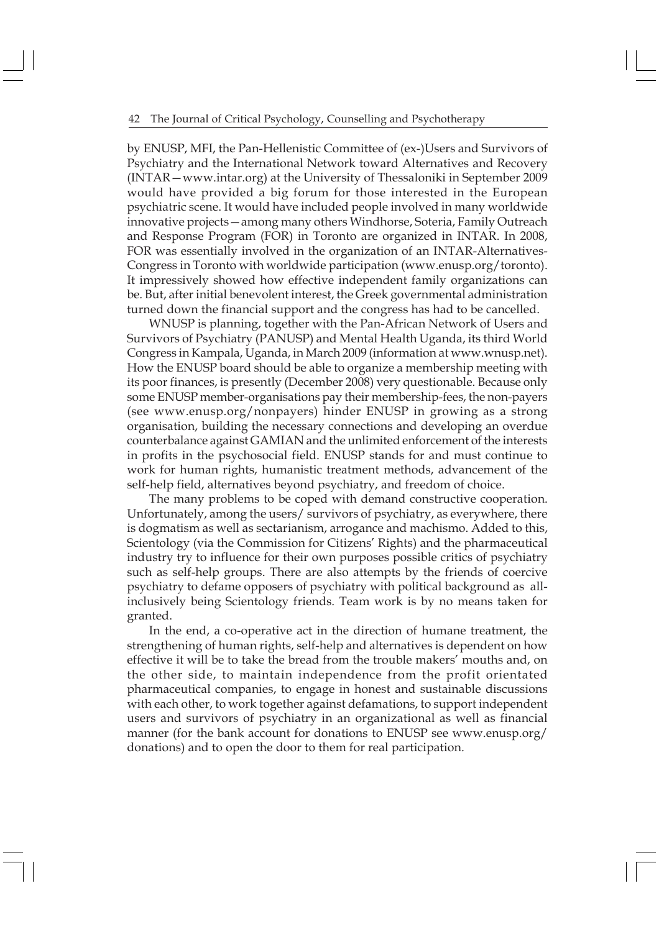#### 42 The Journal of Critical Psychology, Counselling and Psychotherapy

by ENUSP, MFI, the Pan-Hellenistic Committee of (ex-)Users and Survivors of Psychiatry and the International Network toward Alternatives and Recovery (INTAR—www.intar.org) at the University of Thessaloniki in September 2009 would have provided a big forum for those interested in the European psychiatric scene. It would have included people involved in many worldwide innovative projects—among many others Windhorse, Soteria, Family Outreach and Response Program (FOR) in Toronto are organized in INTAR. In 2008, FOR was essentially involved in the organization of an INTAR-Alternatives-Congress in Toronto with worldwide participation (www.enusp.org/toronto). It impressively showed how effective independent family organizations can be. But, after initial benevolent interest, the Greek governmental administration turned down the financial support and the congress has had to be cancelled.

WNUSP is planning, together with the Pan-African Network of Users and Survivors of Psychiatry (PANUSP) and Mental Health Uganda, its third World Congress in Kampala, Uganda, in March 2009 (information at www.wnusp.net). How the ENUSP board should be able to organize a membership meeting with its poor finances, is presently (December 2008) very questionable. Because only some ENUSP member-organisations pay their membership-fees, the non-payers (see www.enusp.org/nonpayers) hinder ENUSP in growing as a strong organisation, building the necessary connections and developing an overdue counterbalance against GAMIAN and the unlimited enforcement of the interests in profits in the psychosocial field. ENUSP stands for and must continue to work for human rights, humanistic treatment methods, advancement of the self-help field, alternatives beyond psychiatry, and freedom of choice.

The many problems to be coped with demand constructive cooperation. Unfortunately, among the users/ survivors of psychiatry, as everywhere, there is dogmatism as well as sectarianism, arrogance and machismo. Added to this, Scientology (via the Commission for Citizens' Rights) and the pharmaceutical industry try to influence for their own purposes possible critics of psychiatry such as self-help groups. There are also attempts by the friends of coercive psychiatry to defame opposers of psychiatry with political background as allinclusively being Scientology friends. Team work is by no means taken for granted.

In the end, a co-operative act in the direction of humane treatment, the strengthening of human rights, self-help and alternatives is dependent on how effective it will be to take the bread from the trouble makers' mouths and, on the other side, to maintain independence from the profit orientated pharmaceutical companies, to engage in honest and sustainable discussions with each other, to work together against defamations, to support independent users and survivors of psychiatry in an organizational as well as financial manner (for the bank account for donations to ENUSP see www.enusp.org/ donations) and to open the door to them for real participation.